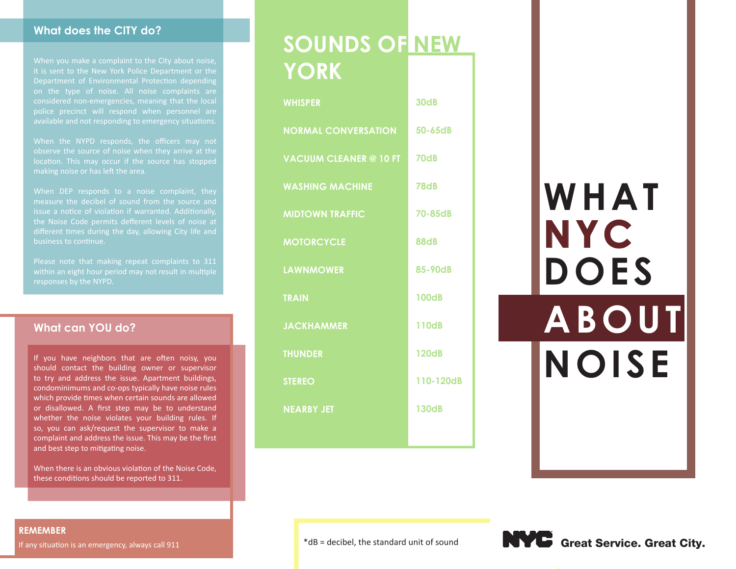#### **What does the CITY do?**

it is sent to the New York Police Department or the Department of Environmental Protection depending considered non-emergencies, meaning that the local police precinct will respond when personnel are available and not responding to emergency situations.

When the NYPD responds, the officers may not observe the source of noise when they arrive at the location. This may occur if the source has stopped making noise or has left the area.

measure the decibel of sound from the source and issue a notice of violation if warranted. Additionally, the Noise Code permits defferent levels of noise at different times during the day, allowing City life and business to continue.

Please note that making repeat complaints to 311 within an eight hour period may not result in multiple responses by the NYPD.

#### **What can YOU do?**

If you have neighbors that are often noisy, you should contact the building owner or supervisor to try and address the issue. Apartment buildings, condominimums and co-ops typically have noise rules which provide times when certain sounds are allowed or disallowed. A first step may be to understand whether the noise violates your building rules. If so, you can ask/request the supervisor to make a complaint and address the issue. This may be the first and best step to mitigating noise.

When there is an obvious violation of the Noise Code, these conditions should be reported to 311.

# **SOUNDS OF NEW YORK**

| <b>WHISPER</b>                | 30dB         |
|-------------------------------|--------------|
| <b>NORMAL CONVERSATION</b>    | 50-65dB      |
| <b>VACUUM CLEANER @ 10 FT</b> | <b>70dB</b>  |
| <b>WASHING MACHINE</b>        | <b>78dB</b>  |
| <b>MIDTOWN TRAFFIC</b>        | 70-85dB      |
| <b>MOTORCYCLE</b>             | <b>88dB</b>  |
| <b>LAWNMOWER</b>              | 85-90dB      |
| <b>TRAIN</b>                  | <b>100dB</b> |
| <b>JACKHAMMER</b>             | <b>110dB</b> |
| <b>THUNDER</b>                | <b>120dB</b> |
| <b>STEREO</b>                 | 110-120dB    |
| <b>NEARBY JET</b>             | <b>130dB</b> |
|                               |              |

# **WHAT NYC DOES ABOUT NOISE**





#### **REMEMBER**